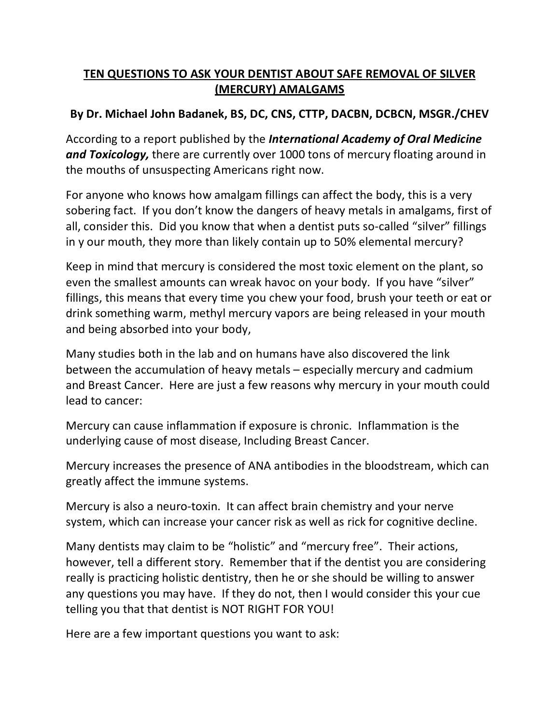## **TEN QUESTIONS TO ASK YOUR DENTIST ABOUT SAFE REMOVAL OF SILVER (MERCURY) AMALGAMS**

## **By Dr. Michael John Badanek, BS, DC, CNS, CTTP, DACBN, DCBCN, MSGR./CHEV**

According to a report published by the *International Academy of Oral Medicine and Toxicology,* there are currently over 1000 tons of mercury floating around in the mouths of unsuspecting Americans right now.

For anyone who knows how amalgam fillings can affect the body, this is a very sobering fact. If you don't know the dangers of heavy metals in amalgams, first of all, consider this. Did you know that when a dentist puts so-called "silver" fillings in y our mouth, they more than likely contain up to 50% elemental mercury?

Keep in mind that mercury is considered the most toxic element on the plant, so even the smallest amounts can wreak havoc on your body. If you have "silver" fillings, this means that every time you chew your food, brush your teeth or eat or drink something warm, methyl mercury vapors are being released in your mouth and being absorbed into your body,

Many studies both in the lab and on humans have also discovered the link between the accumulation of heavy metals – especially mercury and cadmium and Breast Cancer. Here are just a few reasons why mercury in your mouth could lead to cancer:

Mercury can cause inflammation if exposure is chronic. Inflammation is the underlying cause of most disease, Including Breast Cancer.

Mercury increases the presence of ANA antibodies in the bloodstream, which can greatly affect the immune systems.

Mercury is also a neuro-toxin. It can affect brain chemistry and your nerve system, which can increase your cancer risk as well as rick for cognitive decline.

Many dentists may claim to be "holistic" and "mercury free". Their actions, however, tell a different story. Remember that if the dentist you are considering really is practicing holistic dentistry, then he or she should be willing to answer any questions you may have. If they do not, then I would consider this your cue telling you that that dentist is NOT RIGHT FOR YOU!

Here are a few important questions you want to ask: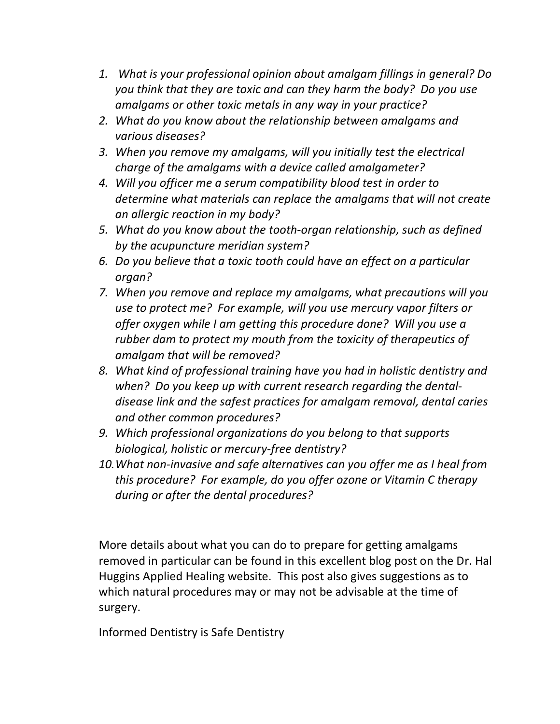- *1. What is your professional opinion about amalgam fillings in general? Do you think that they are toxic and can they harm the body? Do you use amalgams or other toxic metals in any way in your practice?*
- *2. What do you know about the relationship between amalgams and various diseases?*
- *3. When you remove my amalgams, will you initially test the electrical charge of the amalgams with a device called amalgameter?*
- *4. Will you officer me a serum compatibility blood test in order to determine what materials can replace the amalgams that will not create an allergic reaction in my body?*
- *5. What do you know about the tooth-organ relationship, such as defined by the acupuncture meridian system?*
- *6. Do you believe that a toxic tooth could have an effect on a particular organ?*
- *7. When you remove and replace my amalgams, what precautions will you use to protect me? For example, will you use mercury vapor filters or offer oxygen while I am getting this procedure done? Will you use a rubber dam to protect my mouth from the toxicity of therapeutics of amalgam that will be removed?*
- *8. What kind of professional training have you had in holistic dentistry and when? Do you keep up with current research regarding the dentaldisease link and the safest practices for amalgam removal, dental caries and other common procedures?*
- *9. Which professional organizations do you belong to that supports biological, holistic or mercury-free dentistry?*
- *10.What non-invasive and safe alternatives can you offer me as I heal from this procedure? For example, do you offer ozone or Vitamin C therapy during or after the dental procedures?*

More details about what you can do to prepare for getting amalgams removed in particular can be found in this excellent blog post on the Dr. Hal Huggins Applied Healing website. This post also gives suggestions as to which natural procedures may or may not be advisable at the time of surgery.

Informed Dentistry is Safe Dentistry